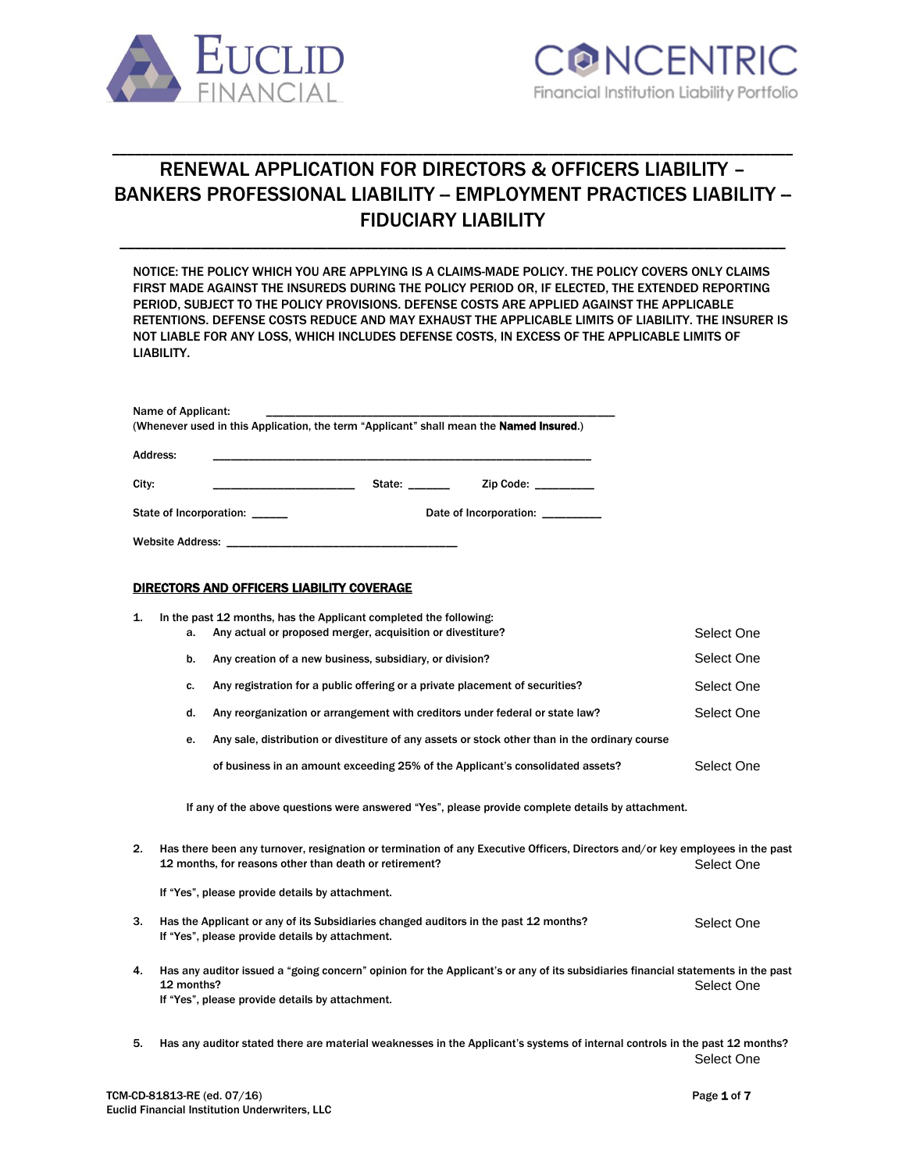

# RENEWAL APPLICATION FOR DIRECTORS & OFFICERS LIABILITY – BANKERS PROFESSIONAL LIABILITY -- EMPLOYMENT PRACTICES LIABILITY --FIDUCIARY LIABILITY

\_\_\_\_\_\_\_\_\_\_\_\_\_\_\_\_\_\_\_\_\_\_\_\_\_\_\_\_\_\_\_\_\_\_\_\_\_\_\_\_\_\_\_\_\_\_\_\_\_\_\_\_\_\_\_\_\_\_\_\_\_\_\_\_\_\_\_\_\_\_\_\_\_\_\_\_\_\_\_\_\_\_\_\_\_\_\_\_\_\_

\_\_\_\_\_\_\_\_\_\_\_\_\_\_\_\_\_\_\_\_\_\_\_\_\_\_\_\_\_\_\_\_\_\_\_\_\_\_\_\_\_\_\_\_\_\_\_\_\_\_\_\_\_\_\_\_\_\_\_\_\_\_\_\_\_\_\_\_\_\_\_\_\_\_\_\_\_\_\_\_\_\_\_\_\_\_\_\_\_\_\_\_

NOTICE: THE POLICY WHICH YOU ARE APPLYING IS A CLAIMS-MADE POLICY. THE POLICY COVERS ONLY CLAIMS FIRST MADE AGAINST THE INSUREDS DURING THE POLICY PERIOD OR, IF ELECTED, THE EXTENDED REPORTING PERIOD, SUBJECT TO THE POLICY PROVISIONS. DEFENSE COSTS ARE APPLIED AGAINST THE APPLICABLE RETENTIONS. DEFENSE COSTS REDUCE AND MAY EXHAUST THE APPLICABLE LIMITS OF LIABILITY. THE INSURER IS NOT LIABLE FOR ANY LOSS, WHICH INCLUDES DEFENSE COSTS, IN EXCESS OF THE APPLICABLE LIMITS OF LIABILITY.

| Name of Applicant:<br>(Whenever used in this Application, the term "Applicant" shall mean the <b>Named Insured.</b> ) |        |                        |
|-----------------------------------------------------------------------------------------------------------------------|--------|------------------------|
| Address:                                                                                                              |        |                        |
| City:                                                                                                                 | State: | Zip Code:              |
| State of Incorporation:                                                                                               |        | Date of Incorporation: |
| <b>Website Address:</b>                                                                                               |        |                        |

#### DIRECTORS AND OFFICERS LIABILITY COVERAGE

| 1. |            | In the past 12 months, has the Applicant completed the following:                                                                                                                       |            |
|----|------------|-----------------------------------------------------------------------------------------------------------------------------------------------------------------------------------------|------------|
|    | a.         | Any actual or proposed merger, acquisition or divestiture?                                                                                                                              | Select One |
|    | b.         | Any creation of a new business, subsidiary, or division?                                                                                                                                | Select One |
|    | C.         | Any registration for a public offering or a private placement of securities?                                                                                                            | Select One |
|    | d.         | Any reorganization or arrangement with creditors under federal or state law?                                                                                                            | Select One |
|    | е.         | Any sale, distribution or divestiture of any assets or stock other than in the ordinary course                                                                                          |            |
|    |            | of business in an amount exceeding 25% of the Applicant's consolidated assets?                                                                                                          | Select One |
|    |            | If any of the above questions were answered "Yes", please provide complete details by attachment.                                                                                       |            |
| 2. |            | Has there been any turnover, resignation or termination of any Executive Officers, Directors and/or key employees in the past<br>12 months, for reasons other than death or retirement? | Select One |
|    |            | If "Yes", please provide details by attachment.                                                                                                                                         |            |
| 3. |            | Has the Applicant or any of its Subsidiaries changed auditors in the past 12 months?<br>If "Yes", please provide details by attachment.                                                 | Select One |
| 4. | 12 months? | Has any auditor issued a "going concern" opinion for the Applicant's or any of its subsidiaries financial statements in the past<br>If "Yes", please provide details by attachment.     | Select One |
| 5. |            | Has any auditor stated there are material weaknesses in the Applicant's systems of internal controls in the past 12 months?                                                             | Select One |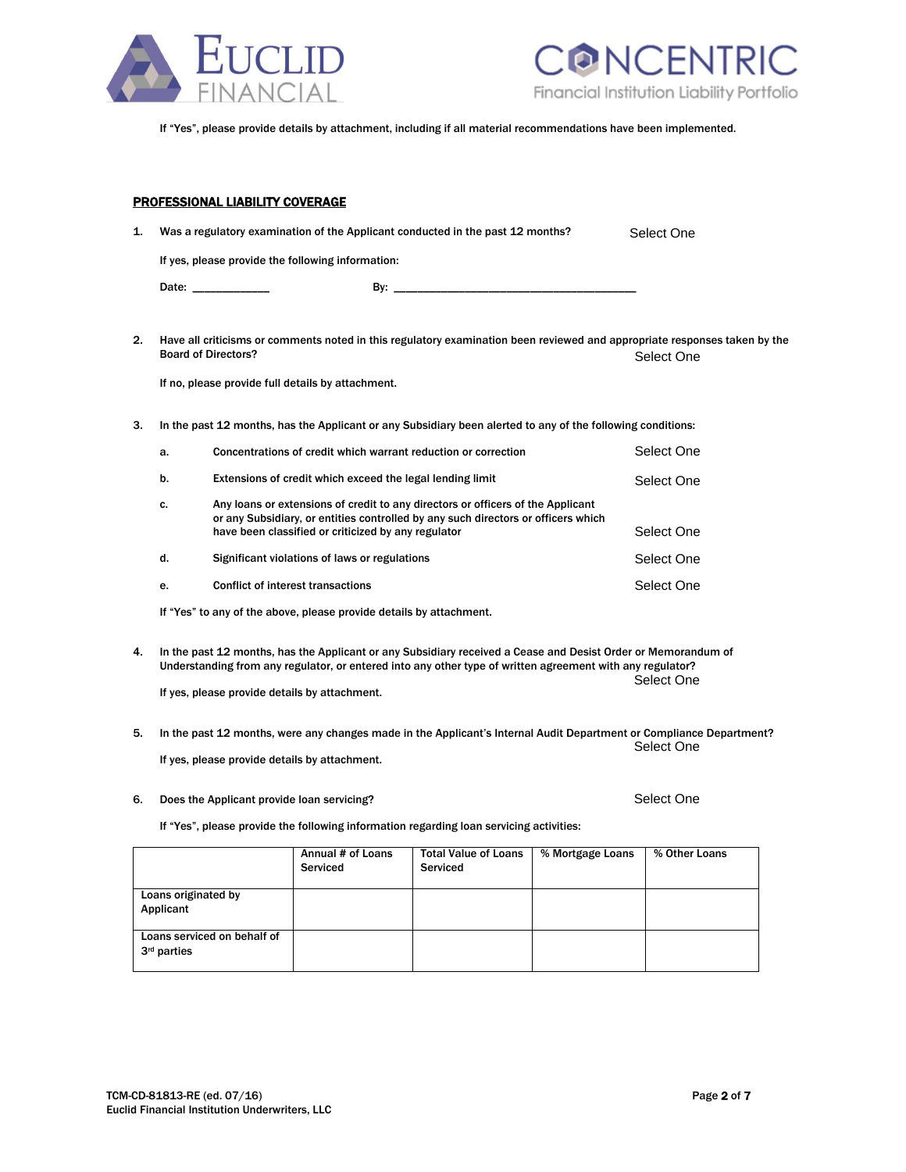



Select One

If "Yes", please provide details by attachment, including if all material recommendations have been implemented.

|    | <b>PROFESSIONAL LIABILITY COVERAGE</b>                                                 |  |  |  |
|----|----------------------------------------------------------------------------------------|--|--|--|
| 1. | Was a regulatory examination of the Applicant conducted in the past 12 months?<br>Sele |  |  |  |
|    | If yes, please provide the following information:                                      |  |  |  |
|    | Date: _____________                                                                    |  |  |  |
|    |                                                                                        |  |  |  |

2. Have all criticisms or comments noted in this regulatory examination been reviewed and appropriate responses taken by the Board of Directors? Select One

If no, please provide full details by attachment.

3. In the past 12 months, has the Applicant or any Subsidiary been alerted to any of the following conditions:

| a. | Concentrations of credit which warrant reduction or correction                                                                                                                                                              | Select One |
|----|-----------------------------------------------------------------------------------------------------------------------------------------------------------------------------------------------------------------------------|------------|
| b. | Extensions of credit which exceed the legal lending limit                                                                                                                                                                   | Select One |
| c. | Any loans or extensions of credit to any directors or officers of the Applicant<br>or any Subsidiary, or entities controlled by any such directors or officers which<br>have been classified or criticized by any regulator | Select One |
| d. | Significant violations of laws or regulations                                                                                                                                                                               | Select One |
| e. | Conflict of interest transactions                                                                                                                                                                                           | Select One |

If "Yes" to any of the above, please provide details by attachment.

4. In the past 12 months, has the Applicant or any Subsidiary received a Cease and Desist Order or Memorandum of Understanding from any regulator, or entered into any other type of written agreement with any regulator? Select One

If yes, please provide details by attachment.

- 5. In the past 12 months, were any changes made in the Applicant's Internal Audit Department or Compliance Department? Select One If yes, please provide details by attachment.
- 6. Does the Applicant provide loan servicing?

If "Yes", please provide the following information regarding loan servicing activities:

|                                                        | Annual # of Loans<br>Serviced | <b>Total Value of Loans</b><br>Serviced | % Mortgage Loans | % Other Loans |
|--------------------------------------------------------|-------------------------------|-----------------------------------------|------------------|---------------|
| Loans originated by<br>Applicant                       |                               |                                         |                  |               |
| Loans serviced on behalf of<br>3 <sup>rd</sup> parties |                               |                                         |                  |               |

Select One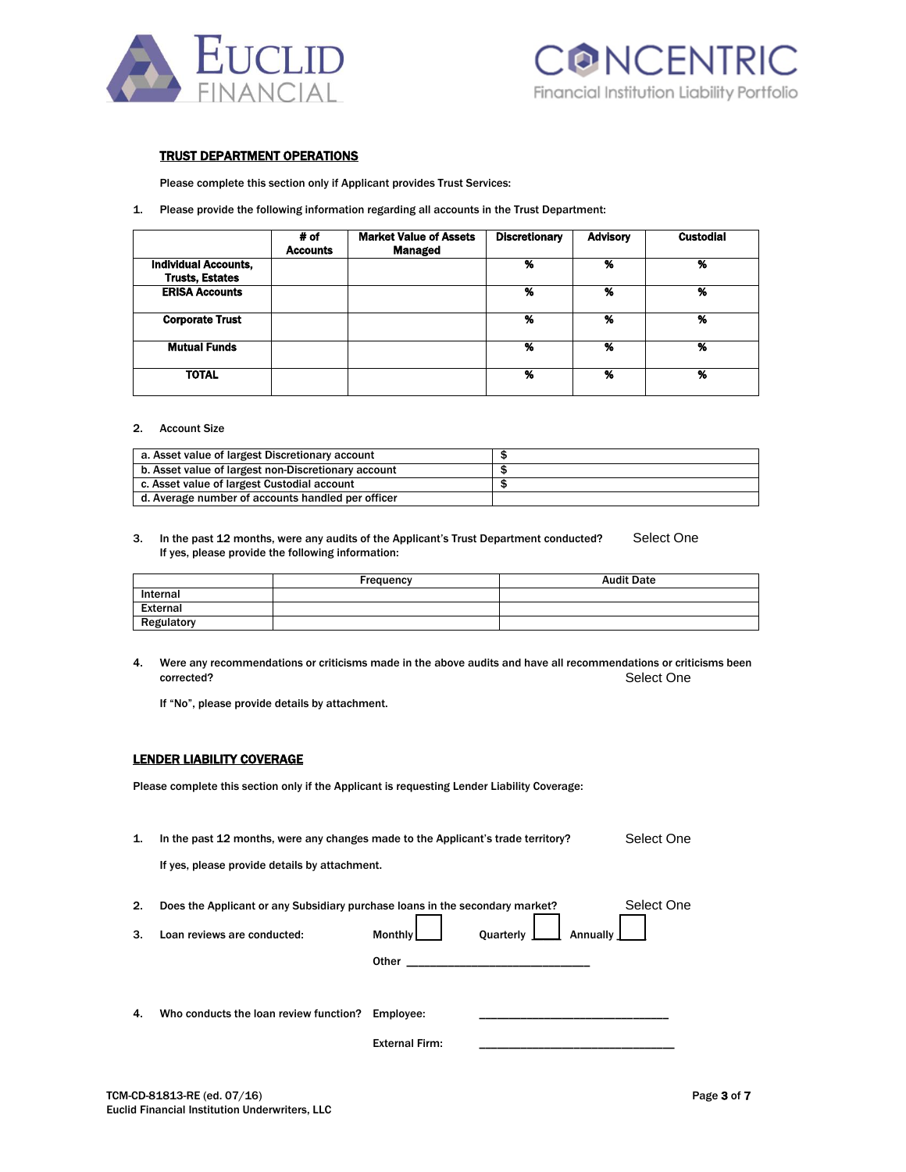



# TRUST DEPARTMENT OPERATIONS

Please complete this section only if Applicant provides Trust Services:

1. Please provide the following information regarding all accounts in the Trust Department:

|                             | # of<br><b>Accounts</b> | <b>Market Value of Assets</b><br><b>Managed</b> | <b>Discretionary</b> | <b>Advisory</b> | <b>Custodial</b> |
|-----------------------------|-------------------------|-------------------------------------------------|----------------------|-----------------|------------------|
| <b>Individual Accounts,</b> |                         |                                                 | %                    | %               | %                |
| <b>Trusts, Estates</b>      |                         |                                                 |                      |                 |                  |
| <b>ERISA Accounts</b>       |                         |                                                 | %                    | %               | %                |
| <b>Corporate Trust</b>      |                         |                                                 | %                    | %               | %                |
| <b>Mutual Funds</b>         |                         |                                                 | %                    | %               | %                |
| <b>TOTAL</b>                |                         |                                                 | %                    | %               | %                |

#### 2. Account Size

| a. Asset value of largest Discretionary account     |  |
|-----------------------------------------------------|--|
| b. Asset value of largest non-Discretionary account |  |
| c. Asset value of largest Custodial account         |  |
| d. Average number of accounts handled per officer   |  |

#### 3. In the past 12 months, were any audits of the Applicant's Trust Department conducted? If yes, please provide the following information: Select One

|                 | Frequency | <b>Audit Date</b> |
|-----------------|-----------|-------------------|
| Internal        |           |                   |
| <b>External</b> |           |                   |
| Regulatory      |           |                   |

4. Were any recommendations or criticisms made in the above audits and have all recommendations or criticisms been corrected? Select One

If "No", please provide details by attachment.

# LENDER LIABILITY COVERAGE

Please complete this section only if the Applicant is requesting Lender Liability Coverage:

1. In the past 12 months, were any changes made to the Applicant's trade territory? Select One

If yes, please provide details by attachment.

| 2. | Does the Applicant or any Subsidiary purchase loans in the secondary market? |                       |                                                                | Select One |
|----|------------------------------------------------------------------------------|-----------------------|----------------------------------------------------------------|------------|
| 3. | Loan reviews are conducted:                                                  | Monthly               | Quarterly $\boxed{\phantom{1}}$ Annually $\boxed{\phantom{1}}$ |            |
|    |                                                                              | Other                 |                                                                |            |
|    |                                                                              |                       |                                                                |            |
| 4. | Who conducts the loan review function? Employee:                             |                       |                                                                |            |
|    |                                                                              | <b>External Firm:</b> |                                                                |            |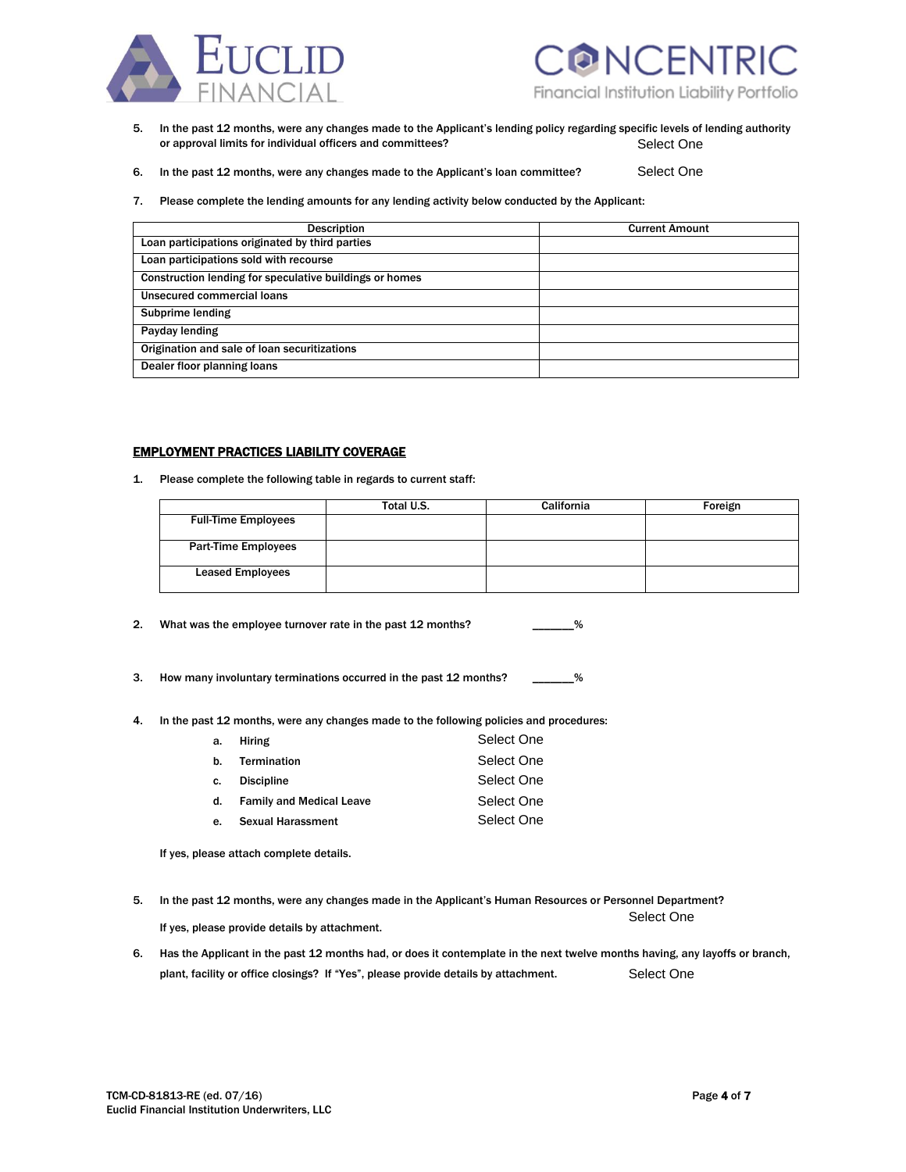



- 5. In the past 12 months, were any changes made to the Applicant's lending policy regarding specific levels of lending authority or approval limits for individual officers and committees? Select One
- 6. In the past 12 months, were any changes made to the Applicant's loan committee? Select One
- 7. Please complete the lending amounts for any lending activity below conducted by the Applicant:

| <b>Description</b>                                      | <b>Current Amount</b> |
|---------------------------------------------------------|-----------------------|
| Loan participations originated by third parties         |                       |
| Loan participations sold with recourse                  |                       |
| Construction lending for speculative buildings or homes |                       |
| Unsecured commercial loans                              |                       |
| <b>Subprime lending</b>                                 |                       |
| Payday lending                                          |                       |
| Origination and sale of loan securitizations            |                       |
| Dealer floor planning loans                             |                       |

#### EMPLOYMENT PRACTICES LIABILITY COVERAGE

1. Please complete the following table in regards to current staff:

|                            | Total U.S. | <b>California</b> | Foreign |
|----------------------------|------------|-------------------|---------|
| <b>Full-Time Employees</b> |            |                   |         |
| <b>Part-Time Employees</b> |            |                   |         |
| <b>Leased Employees</b>    |            |                   |         |

2. What was the employee turnover rate in the past 12 months? \_\_\_\_\_\_\_\_%

- 3. How many involuntary terminations occurred in the past 12 months? \_\_\_\_\_\_\_%
- 4. In the past 12 months, were any changes made to the following policies and procedures:

| а. | Hiring                      | Select One |
|----|-----------------------------|------------|
|    | b. Termination              | Select One |
|    | c. Discipline               | Select One |
|    | d. Family and Medical Leave | Select One |
|    | e. Sexual Harassment        | Select One |

If yes, please attach complete details.

5. In the past 12 months, were any changes made in the Applicant's Human Resources or Personnel Department? Select One

If yes, please provide details by attachment.

6. Has the Applicant in the past 12 months had, or does it contemplate in the next twelve months having, any layoffs or branch, plant, facility or office closings? If "Yes", please provide details by attachment. Select One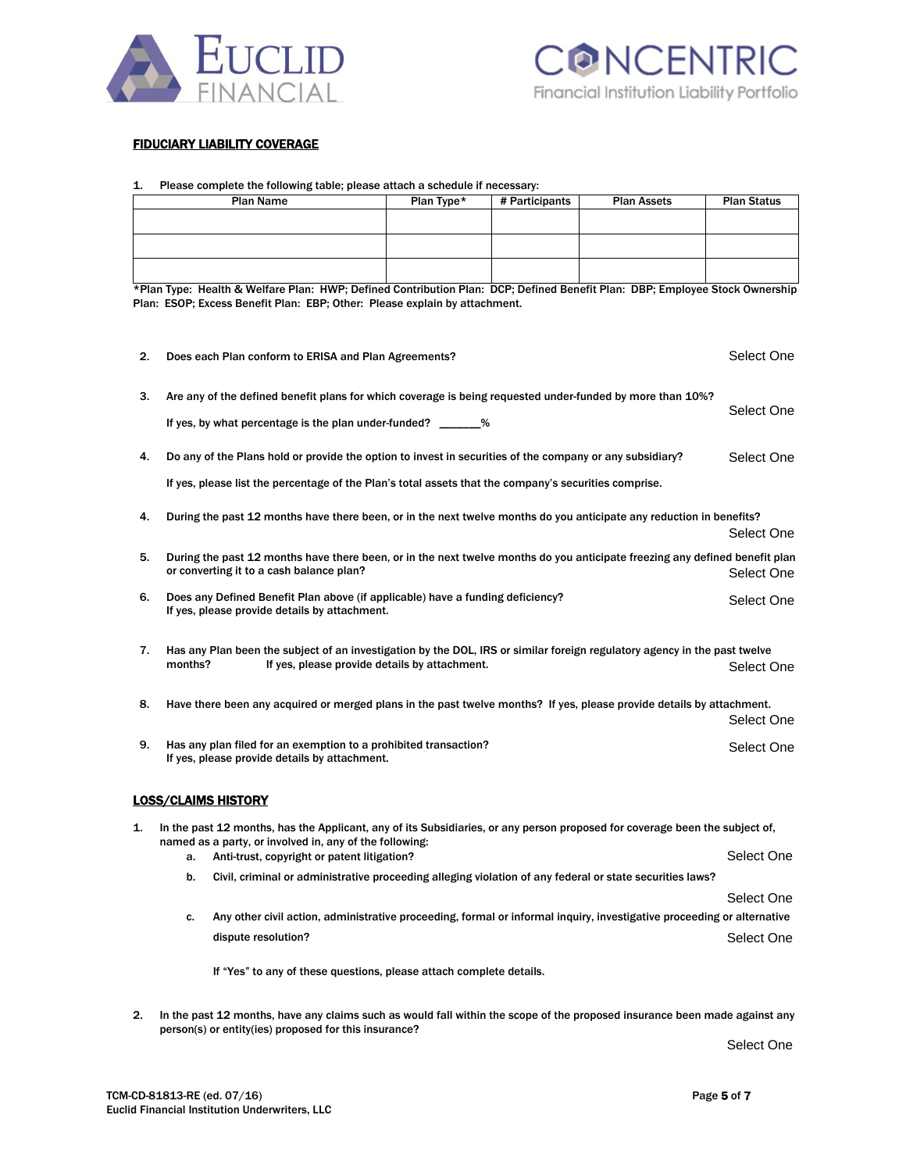

# FIDUCIARY LIABILITY COVERAGE

# 1. Please complete the following table; please attach a schedule if necessary:

| <b>Plan Name</b>                                                       |                                                                                                                                                                                        | Plan Type*                                                                                                                                                                                                | # Participants | <b>Plan Assets</b> | <b>Plan Status</b> |            |
|------------------------------------------------------------------------|----------------------------------------------------------------------------------------------------------------------------------------------------------------------------------------|-----------------------------------------------------------------------------------------------------------------------------------------------------------------------------------------------------------|----------------|--------------------|--------------------|------------|
|                                                                        |                                                                                                                                                                                        |                                                                                                                                                                                                           |                |                    |                    |            |
|                                                                        |                                                                                                                                                                                        |                                                                                                                                                                                                           |                |                    |                    |            |
|                                                                        |                                                                                                                                                                                        |                                                                                                                                                                                                           |                |                    |                    |            |
|                                                                        |                                                                                                                                                                                        |                                                                                                                                                                                                           |                |                    |                    |            |
|                                                                        |                                                                                                                                                                                        | *Plan Type: Health & Welfare Plan: HWP; Defined Contribution Plan: DCP; Defined Benefit Plan: DBP; Employee Stock Ownership<br>Plan: ESOP; Excess Benefit Plan: EBP; Other: Please explain by attachment. |                |                    |                    |            |
|                                                                        |                                                                                                                                                                                        |                                                                                                                                                                                                           |                |                    |                    |            |
|                                                                        |                                                                                                                                                                                        |                                                                                                                                                                                                           |                |                    |                    |            |
| 2.                                                                     | Does each Plan conform to ERISA and Plan Agreements?                                                                                                                                   |                                                                                                                                                                                                           |                |                    |                    | Select One |
|                                                                        |                                                                                                                                                                                        |                                                                                                                                                                                                           |                |                    |                    |            |
| 3.                                                                     | Are any of the defined benefit plans for which coverage is being requested under-funded by more than 10%?                                                                              |                                                                                                                                                                                                           |                |                    |                    |            |
|                                                                        | If yes, by what percentage is the plan under-funded? ________%                                                                                                                         |                                                                                                                                                                                                           |                |                    |                    | Select One |
|                                                                        |                                                                                                                                                                                        |                                                                                                                                                                                                           |                |                    |                    |            |
| 4.                                                                     | Do any of the Plans hold or provide the option to invest in securities of the company or any subsidiary?                                                                               |                                                                                                                                                                                                           |                |                    |                    | Select One |
|                                                                        | If yes, please list the percentage of the Plan's total assets that the company's securities comprise.                                                                                  |                                                                                                                                                                                                           |                |                    |                    |            |
|                                                                        |                                                                                                                                                                                        |                                                                                                                                                                                                           |                |                    |                    |            |
| 4.                                                                     | During the past 12 months have there been, or in the next twelve months do you anticipate any reduction in benefits?                                                                   |                                                                                                                                                                                                           |                |                    |                    |            |
|                                                                        |                                                                                                                                                                                        |                                                                                                                                                                                                           |                |                    |                    | Select One |
| 5.                                                                     | During the past 12 months have there been, or in the next twelve months do you anticipate freezing any defined benefit plan                                                            |                                                                                                                                                                                                           |                |                    |                    |            |
|                                                                        | or converting it to a cash balance plan?                                                                                                                                               |                                                                                                                                                                                                           |                |                    |                    | Select One |
| 6.                                                                     | Does any Defined Benefit Plan above (if applicable) have a funding deficiency?                                                                                                         |                                                                                                                                                                                                           |                |                    |                    | Select One |
|                                                                        | If yes, please provide details by attachment.                                                                                                                                          |                                                                                                                                                                                                           |                |                    |                    |            |
|                                                                        |                                                                                                                                                                                        |                                                                                                                                                                                                           |                |                    |                    |            |
| 7.                                                                     | Has any Plan been the subject of an investigation by the DOL, IRS or similar foreign regulatory agency in the past twelve<br>If yes, please provide details by attachment.<br>months?  |                                                                                                                                                                                                           |                |                    |                    | Select One |
|                                                                        |                                                                                                                                                                                        |                                                                                                                                                                                                           |                |                    |                    |            |
| 8.                                                                     |                                                                                                                                                                                        | Have there been any acquired or merged plans in the past twelve months? If yes, please provide details by attachment.                                                                                     |                |                    |                    |            |
|                                                                        |                                                                                                                                                                                        |                                                                                                                                                                                                           |                |                    |                    | Select One |
| Has any plan filed for an exemption to a prohibited transaction?<br>9. |                                                                                                                                                                                        |                                                                                                                                                                                                           |                |                    |                    | Select One |
|                                                                        | If yes, please provide details by attachment.                                                                                                                                          |                                                                                                                                                                                                           |                |                    |                    |            |
|                                                                        |                                                                                                                                                                                        |                                                                                                                                                                                                           |                |                    |                    |            |
|                                                                        |                                                                                                                                                                                        | <b>LOSS/CLAIMS HISTORY</b>                                                                                                                                                                                |                |                    |                    |            |
| 1.                                                                     |                                                                                                                                                                                        |                                                                                                                                                                                                           |                |                    |                    |            |
|                                                                        | In the past 12 months, has the Applicant, any of its Subsidiaries, or any person proposed for coverage been the subject of,<br>named as a party, or involved in, any of the following: |                                                                                                                                                                                                           |                |                    |                    |            |
|                                                                        |                                                                                                                                                                                        | a. Anti-trust, copyright or patent litigation?                                                                                                                                                            |                |                    |                    | Select One |
|                                                                        | b.                                                                                                                                                                                     | Civil, criminal or administrative proceeding alleging violation of any federal or state securities laws?                                                                                                  |                |                    |                    |            |
|                                                                        |                                                                                                                                                                                        |                                                                                                                                                                                                           |                |                    |                    | Select One |
|                                                                        | c.                                                                                                                                                                                     | Any other civil action, administrative proceeding, formal or informal inquiry, investigative proceeding or alternative                                                                                    |                |                    |                    |            |
|                                                                        |                                                                                                                                                                                        | dispute resolution?                                                                                                                                                                                       |                |                    |                    | Select One |
|                                                                        |                                                                                                                                                                                        |                                                                                                                                                                                                           |                |                    |                    |            |
|                                                                        |                                                                                                                                                                                        | If "Yes" to any of these questions, please attach complete details.                                                                                                                                       |                |                    |                    |            |
|                                                                        |                                                                                                                                                                                        |                                                                                                                                                                                                           |                |                    |                    |            |
| 2.                                                                     | In the past 12 months, have any claims such as would fall within the scope of the proposed insurance been made against any<br>person(s) or entity(ies) proposed for this insurance?    |                                                                                                                                                                                                           |                |                    |                    |            |
|                                                                        |                                                                                                                                                                                        |                                                                                                                                                                                                           |                |                    |                    |            |

Select One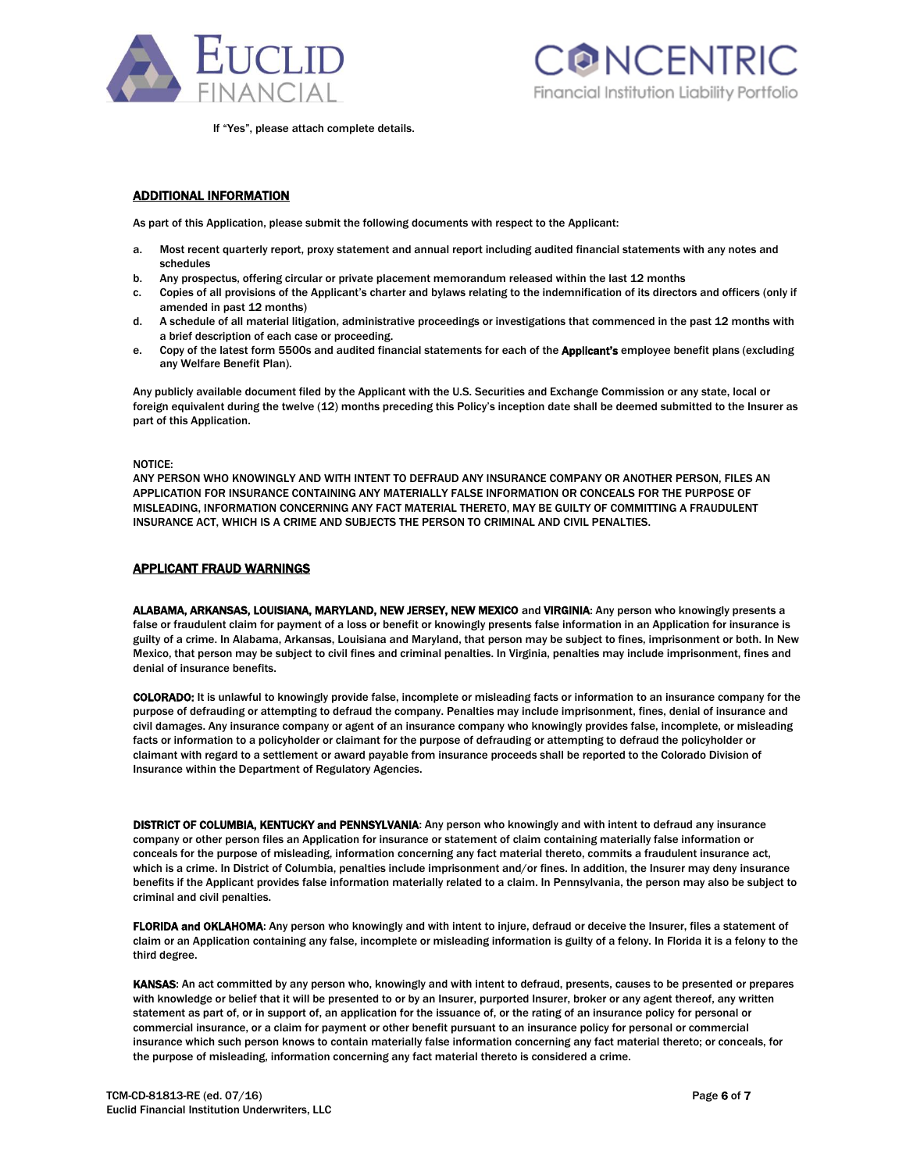



If "Yes", please attach complete details.

# ADDITIONAL INFORMATION

As part of this Application, please submit the following documents with respect to the Applicant:

- a. Most recent quarterly report, proxy statement and annual report including audited financial statements with any notes and schedules
- b. Any prospectus, offering circular or private placement memorandum released within the last 12 months
- c. Copies of all provisions of the Applicant's charter and bylaws relating to the indemnification of its directors and officers (only if amended in past 12 months)
- d. A schedule of all material litigation, administrative proceedings or investigations that commenced in the past 12 months with a brief description of each case or proceeding.
- e. Copy of the latest form 5500s and audited financial statements for each of the **Applicant's** employee benefit plans (excluding any Welfare Benefit Plan).

Any publicly available document filed by the Applicant with the U.S. Securities and Exchange Commission or any state, local or foreign equivalent during the twelve (12) months preceding this Policy's inception date shall be deemed submitted to the Insurer as part of this Application.

#### NOTICE:

ANY PERSON WHO KNOWINGLY AND WITH INTENT TO DEFRAUD ANY INSURANCE COMPANY OR ANOTHER PERSON, FILES AN APPLICATION FOR INSURANCE CONTAINING ANY MATERIALLY FALSE INFORMATION OR CONCEALS FOR THE PURPOSE OF MISLEADING, INFORMATION CONCERNING ANY FACT MATERIAL THERETO, MAY BE GUILTY OF COMMITTING A FRAUDULENT INSURANCE ACT, WHICH IS A CRIME AND SUBJECTS THE PERSON TO CRIMINAL AND CIVIL PENALTIES.

#### **APPLICANT FRAUD WARNINGS**

ALABAMA, ARKANSAS, LOUISIANA, MARYLAND, NEW JERSEY, NEW MEXICO and VIRGINIA: Any person who knowingly presents a false or fraudulent claim for payment of a loss or benefit or knowingly presents false information in an Application for insurance is guilty of a crime. In Alabama, Arkansas, Louisiana and Maryland, that person may be subject to fines, imprisonment or both. In New Mexico, that person may be subject to civil fines and criminal penalties. In Virginia, penalties may include imprisonment, fines and denial of insurance benefits.

COLORADO: It is unlawful to knowingly provide false, incomplete or misleading facts or information to an insurance company for the purpose of defrauding or attempting to defraud the company. Penalties may include imprisonment, fines, denial of insurance and civil damages. Any insurance company or agent of an insurance company who knowingly provides false, incomplete, or misleading facts or information to a policyholder or claimant for the purpose of defrauding or attempting to defraud the policyholder or claimant with regard to a settlement or award payable from insurance proceeds shall be reported to the Colorado Division of Insurance within the Department of Regulatory Agencies.

DISTRICT OF COLUMBIA, KENTUCKY and PENNSYLVANIA: Any person who knowingly and with intent to defraud any insurance company or other person files an Application for insurance or statement of claim containing materially false information or conceals for the purpose of misleading, information concerning any fact material thereto, commits a fraudulent insurance act, which is a crime. In District of Columbia, penalties include imprisonment and/or fines. In addition, the Insurer may deny insurance benefits if the Applicant provides false information materially related to a claim. In Pennsylvania, the person may also be subject to criminal and civil penalties.

FLORIDA and OKLAHOMA: Any person who knowingly and with intent to injure, defraud or deceive the Insurer, files a statement of claim or an Application containing any false, incomplete or misleading information is guilty of a felony. In Florida it is a felony to the third degree.

KANSAS: An act committed by any person who, knowingly and with intent to defraud, presents, causes to be presented or prepares with knowledge or belief that it will be presented to or by an Insurer, purported Insurer, broker or any agent thereof, any written statement as part of, or in support of, an application for the issuance of, or the rating of an insurance policy for personal or commercial insurance, or a claim for payment or other benefit pursuant to an insurance policy for personal or commercial insurance which such person knows to contain materially false information concerning any fact material thereto; or conceals, for the purpose of misleading, information concerning any fact material thereto is considered a crime.